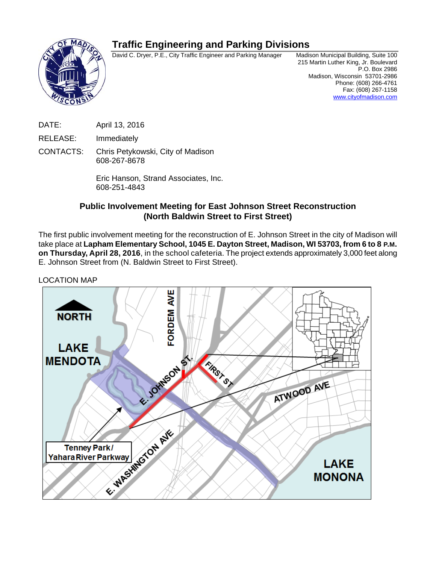## **Traffic Engineering and Parking Divisions**

David C. Dryer, P.E., City Traffic Engineer and Parking Manager Madison Municipal Building, Suite 100

 215 Martin Luther King, Jr. Boulevard P.O. Box 2986 Madison, Wisconsin 53701-2986 Phone: (608) 266-4761 Fax: (608) 267-1158 www.cityofmadison.com

- DATE: April 13, 2016
- RELEASE: Immediately
- CONTACTS: Chris Petykowski, City of Madison 608-267-8678

 Eric Hanson, Strand Associates, Inc. 608-251-4843

## **Public Involvement Meeting for East Johnson Street Reconstruction (North Baldwin Street to First Street)**

The first public involvement meeting for the reconstruction of E. Johnson Street in the city of Madison will take place at **Lapham Elementary School, 1045 E. Dayton Street, Madison, WI 53703, from 6 to 8 P.M. on Thursday, April 28, 2016**, in the school cafeteria. The project extends approximately 3,000 feet along E. Johnson Street from (N. Baldwin Street to First Street).

LOCATION MAP

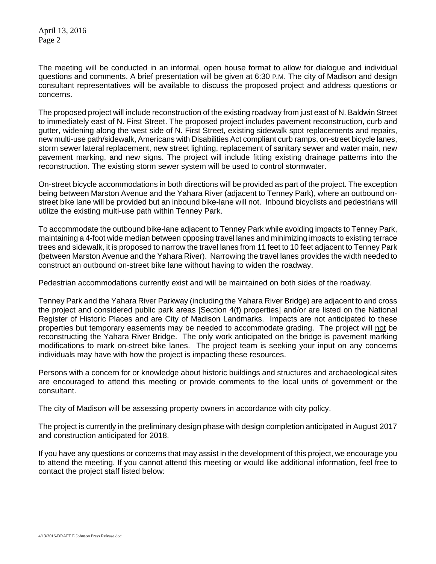April 13, 2016 Page 2

The meeting will be conducted in an informal, open house format to allow for dialogue and individual questions and comments. A brief presentation will be given at 6:30 P.M. The city of Madison and design consultant representatives will be available to discuss the proposed project and address questions or concerns.

The proposed project will include reconstruction of the existing roadway from just east of N. Baldwin Street to immediately east of N. First Street. The proposed project includes pavement reconstruction, curb and gutter, widening along the west side of N. First Street, existing sidewalk spot replacements and repairs, new multi-use path/sidewalk, Americans with Disabilities Act compliant curb ramps, on-street bicycle lanes, storm sewer lateral replacement, new street lighting, replacement of sanitary sewer and water main, new pavement marking, and new signs. The project will include fitting existing drainage patterns into the reconstruction. The existing storm sewer system will be used to control stormwater.

On-street bicycle accommodations in both directions will be provided as part of the project. The exception being between Marston Avenue and the Yahara River (adjacent to Tenney Park), where an outbound onstreet bike lane will be provided but an inbound bike-lane will not. Inbound bicyclists and pedestrians will utilize the existing multi-use path within Tenney Park.

To accommodate the outbound bike-lane adjacent to Tenney Park while avoiding impacts to Tenney Park, maintaining a 4-foot wide median between opposing travel lanes and minimizing impacts to existing terrace trees and sidewalk, it is proposed to narrow the travel lanes from 11 feet to 10 feet adjacent to Tenney Park (between Marston Avenue and the Yahara River). Narrowing the travel lanes provides the width needed to construct an outbound on-street bike lane without having to widen the roadway.

Pedestrian accommodations currently exist and will be maintained on both sides of the roadway.

Tenney Park and the Yahara River Parkway (including the Yahara River Bridge) are adjacent to and cross the project and considered public park areas [Section 4(f) properties] and/or are listed on the National Register of Historic Places and are City of Madison Landmarks. Impacts are not anticipated to these properties but temporary easements may be needed to accommodate grading. The project will not be reconstructing the Yahara River Bridge. The only work anticipated on the bridge is pavement marking modifications to mark on-street bike lanes. The project team is seeking your input on any concerns individuals may have with how the project is impacting these resources.

Persons with a concern for or knowledge about historic buildings and structures and archaeological sites are encouraged to attend this meeting or provide comments to the local units of government or the consultant.

The city of Madison will be assessing property owners in accordance with city policy.

The project is currently in the preliminary design phase with design completion anticipated in August 2017 and construction anticipated for 2018.

If you have any questions or concerns that may assist in the development of this project, we encourage you to attend the meeting. If you cannot attend this meeting or would like additional information, feel free to contact the project staff listed below: